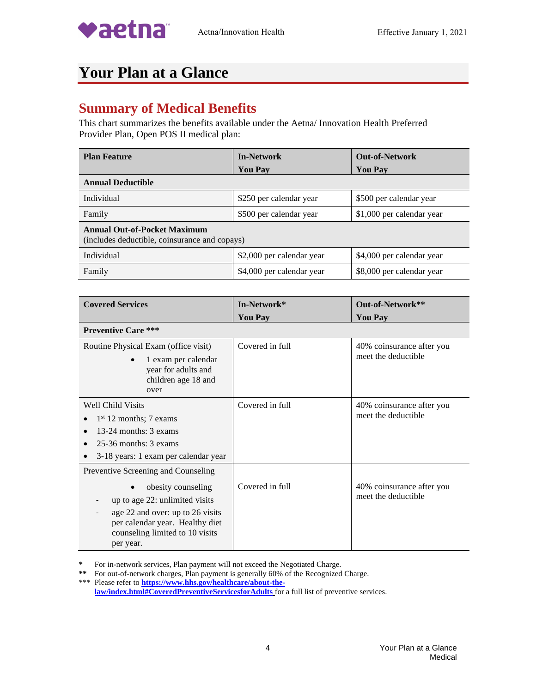

## **Your Plan at a Glance**

## **Summary of Medical Benefits**

This chart summarizes the benefits available under the Aetna/ Innovation Health Preferred Provider Plan, Open POS II medical plan:

| <b>Plan Feature</b>                                                                  | <b>In-Network</b>         | <b>Out-of-Network</b>     |
|--------------------------------------------------------------------------------------|---------------------------|---------------------------|
|                                                                                      | <b>You Pay</b>            | <b>You Pay</b>            |
| <b>Annual Deductible</b>                                                             |                           |                           |
| Individual                                                                           | \$250 per calendar year   | \$500 per calendar year   |
| Family                                                                               | \$500 per calendar year   | \$1,000 per calendar year |
| <b>Annual Out-of-Pocket Maximum</b><br>(includes deductible, coinsurance and copays) |                           |                           |
| Individual                                                                           | \$2,000 per calendar year | \$4,000 per calendar year |
| Family                                                                               | \$4,000 per calendar year | \$8,000 per calendar year |

| <b>Covered Services</b>                                                                                                                                                                                            | In-Network*     | Out-of-Network**                                 |
|--------------------------------------------------------------------------------------------------------------------------------------------------------------------------------------------------------------------|-----------------|--------------------------------------------------|
|                                                                                                                                                                                                                    | <b>You Pay</b>  | <b>You Pay</b>                                   |
| <b>Preventive Care ***</b>                                                                                                                                                                                         |                 |                                                  |
| Routine Physical Exam (office visit)<br>1 exam per calendar<br>year for adults and<br>children age 18 and<br>over                                                                                                  | Covered in full | 40% coinsurance after you<br>meet the deductible |
| Well Child Visits<br>$1st 12$ months; 7 exams<br>13-24 months: 3 exams<br>$25-36$ months: $3$ exams<br>3-18 years: 1 exam per calendar year                                                                        | Covered in full | 40% coinsurance after you<br>meet the deductible |
| Preventive Screening and Counseling<br>obesity counseling<br>up to age 22: unlimited visits<br>age 22 and over: up to 26 visits<br>per calendar year. Healthy diet<br>counseling limited to 10 visits<br>per year. | Covered in full | 40% coinsurance after you<br>meet the deductible |

**\*** For in-network services, Plan payment will not exceed the Negotiated Charge.

**\*\*** For out-of-network charges, Plan payment is generally 60% of the Recognized Charge.

\*\*\* Please refer to **[https://www.hhs.gov/healthcare/about-the](https://www.hhs.gov/healthcare/about-the-law/index.html#CoveredPreventiveServicesforAdults)[law/index.html#CoveredPreventiveServicesforAdults](https://www.hhs.gov/healthcare/about-the-law/index.html#CoveredPreventiveServicesforAdults)** for a full list of preventive services.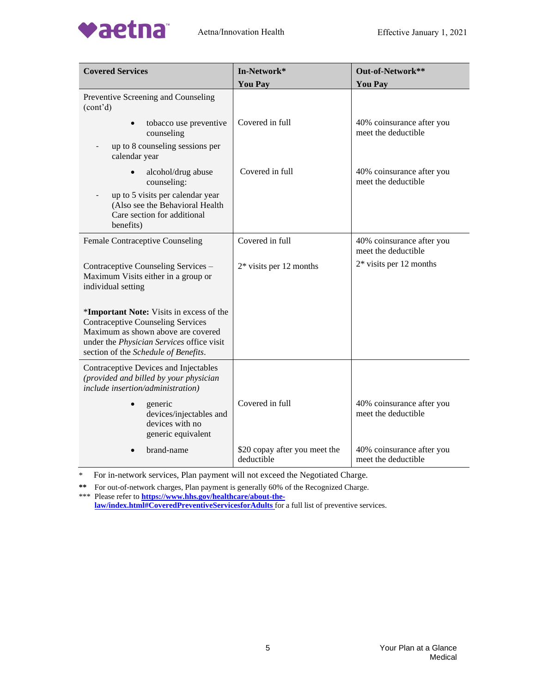

| <b>Covered Services</b>                                                                                                                                                                                         | In-Network*                                 | Out-of-Network**                                 |
|-----------------------------------------------------------------------------------------------------------------------------------------------------------------------------------------------------------------|---------------------------------------------|--------------------------------------------------|
|                                                                                                                                                                                                                 | <b>You Pay</b>                              | <b>You Pay</b>                                   |
| Preventive Screening and Counseling<br>(cont'd)                                                                                                                                                                 |                                             |                                                  |
| tobacco use preventive<br>$\bullet$<br>counseling                                                                                                                                                               | Covered in full                             | 40% coinsurance after you<br>meet the deductible |
| up to 8 counseling sessions per<br>calendar year                                                                                                                                                                |                                             |                                                  |
| alcohol/drug abuse<br>$\bullet$<br>counseling:                                                                                                                                                                  | Covered in full                             | 40% coinsurance after you<br>meet the deductible |
| up to 5 visits per calendar year<br>(Also see the Behavioral Health<br>Care section for additional<br>benefits)                                                                                                 |                                             |                                                  |
| Female Contraceptive Counseling                                                                                                                                                                                 | Covered in full                             | 40% coinsurance after you<br>meet the deductible |
| Contraceptive Counseling Services -<br>Maximum Visits either in a group or<br>individual setting                                                                                                                | $2*$ visits per 12 months                   | $2*$ visits per 12 months                        |
| *Important Note: Visits in excess of the<br><b>Contraceptive Counseling Services</b><br>Maximum as shown above are covered<br>under the Physician Services office visit<br>section of the Schedule of Benefits. |                                             |                                                  |
| Contraceptive Devices and Injectables<br>(provided and billed by your physician<br>include insertion/administration)                                                                                            |                                             |                                                  |
| generic<br>devices/injectables and<br>devices with no<br>generic equivalent                                                                                                                                     | Covered in full                             | 40% coinsurance after you<br>meet the deductible |
| brand-name                                                                                                                                                                                                      | \$20 copay after you meet the<br>deductible | 40% coinsurance after you<br>meet the deductible |

**\*\*** For out-of-network charges, Plan payment is generally 60% of the Recognized Charge. \*\*\* Please refer to **[https://www.hhs.gov/healthcare/about-the-](https://www.hhs.gov/healthcare/about-the-law/index.html#CoveredPreventiveServicesforAdults)**

**[law/index.html#CoveredPreventiveServicesforAdults](https://www.hhs.gov/healthcare/about-the-law/index.html#CoveredPreventiveServicesforAdults)** for a full list of preventive services.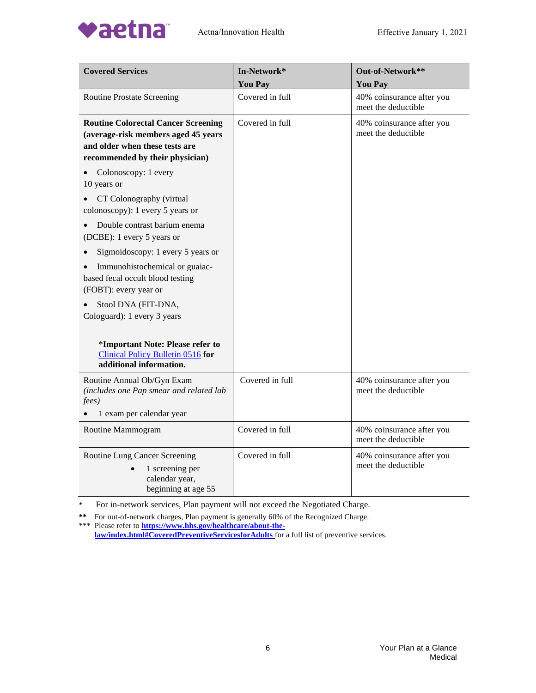

vaetna



| <b>Covered Services</b>                                                                                                                                | In-Network*     | Out-of-Network**                                 |
|--------------------------------------------------------------------------------------------------------------------------------------------------------|-----------------|--------------------------------------------------|
|                                                                                                                                                        | <b>You Pay</b>  | <b>You Pay</b>                                   |
| <b>Routine Prostate Screening</b>                                                                                                                      | Covered in full | 40% coinsurance after you<br>meet the deductible |
| <b>Routine Colorectal Cancer Screening</b><br>(average-risk members aged 45 years<br>and older when these tests are<br>recommended by their physician) | Covered in full | 40% coinsurance after you<br>meet the deductible |
| Colonoscopy: 1 every<br>10 years or                                                                                                                    |                 |                                                  |
| CT Colonography (virtual<br>colonoscopy): 1 every 5 years or                                                                                           |                 |                                                  |
| Double contrast barium enema<br>(DCBE): 1 every 5 years or                                                                                             |                 |                                                  |
| Sigmoidoscopy: 1 every 5 years or                                                                                                                      |                 |                                                  |
| Immunohistochemical or guaiac-<br>based fecal occult blood testing<br>(FOBT): every year or                                                            |                 |                                                  |
| Stool DNA (FIT-DNA,<br>Cologuard): 1 every 3 years                                                                                                     |                 |                                                  |
|                                                                                                                                                        |                 |                                                  |
| *Important Note: Please refer to<br>Clinical Policy Bulletin 0516 for<br>additional information.                                                       |                 |                                                  |
| Routine Annual Ob/Gyn Exam<br>(includes one Pap smear and related lab<br>fees)                                                                         | Covered in full | 40% coinsurance after you<br>meet the deductible |
| 1 exam per calendar year                                                                                                                               |                 |                                                  |
| Routine Mammogram                                                                                                                                      | Covered in full | 40% coinsurance after you<br>meet the deductible |
| Routine Lung Cancer Screening<br>1 screening per<br>calendar year,<br>beginning at age 55                                                              | Covered in full | 40% coinsurance after you<br>meet the deductible |

For in-network services, Plan payment will not exceed the Negotiated Charge.

**\*\*** For out-of-network charges, Plan payment is generally 60% of the Recognized Charge. \*\*\* Please refer to **[https://www.hhs.gov/healthcare/about-the-](https://www.hhs.gov/healthcare/about-the-law/index.html#CoveredPreventiveServicesforAdults)**

**[law/index.html#CoveredPreventiveServicesforAdults](https://www.hhs.gov/healthcare/about-the-law/index.html#CoveredPreventiveServicesforAdults)** for a full list of preventive services.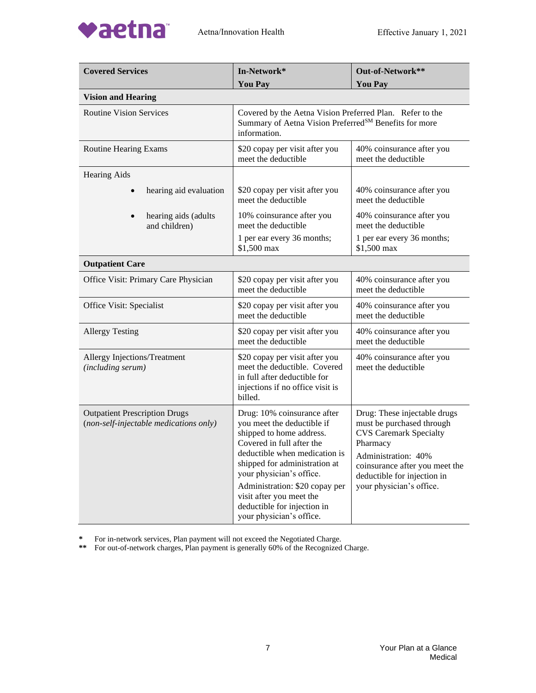

| <b>Covered Services</b>                                                        | In-Network*                                                                                                                                                                                                                                                                                                                               | Out-of-Network**                                                                                                                                                                                                           |
|--------------------------------------------------------------------------------|-------------------------------------------------------------------------------------------------------------------------------------------------------------------------------------------------------------------------------------------------------------------------------------------------------------------------------------------|----------------------------------------------------------------------------------------------------------------------------------------------------------------------------------------------------------------------------|
|                                                                                | <b>You Pay</b>                                                                                                                                                                                                                                                                                                                            | <b>You Pay</b>                                                                                                                                                                                                             |
| <b>Vision and Hearing</b>                                                      |                                                                                                                                                                                                                                                                                                                                           |                                                                                                                                                                                                                            |
| <b>Routine Vision Services</b>                                                 | Covered by the Aetna Vision Preferred Plan. Refer to the<br>Summary of Aetna Vision Preferred <sup>SM</sup> Benefits for more<br>information.                                                                                                                                                                                             |                                                                                                                                                                                                                            |
| <b>Routine Hearing Exams</b>                                                   | \$20 copay per visit after you<br>meet the deductible                                                                                                                                                                                                                                                                                     | 40% coinsurance after you<br>meet the deductible                                                                                                                                                                           |
| <b>Hearing Aids</b>                                                            |                                                                                                                                                                                                                                                                                                                                           |                                                                                                                                                                                                                            |
| hearing aid evaluation<br>$\bullet$                                            | \$20 copay per visit after you<br>meet the deductible                                                                                                                                                                                                                                                                                     | 40% coinsurance after you<br>meet the deductible                                                                                                                                                                           |
| hearing aids (adults<br>and children)                                          | 10% coinsurance after you<br>meet the deductible                                                                                                                                                                                                                                                                                          | 40% coinsurance after you<br>meet the deductible                                                                                                                                                                           |
|                                                                                | 1 per ear every 36 months;<br>\$1,500 max                                                                                                                                                                                                                                                                                                 | 1 per ear every 36 months;<br>\$1,500 max                                                                                                                                                                                  |
| <b>Outpatient Care</b>                                                         |                                                                                                                                                                                                                                                                                                                                           |                                                                                                                                                                                                                            |
| Office Visit: Primary Care Physician                                           | \$20 copay per visit after you<br>meet the deductible                                                                                                                                                                                                                                                                                     | 40% coinsurance after you<br>meet the deductible                                                                                                                                                                           |
| Office Visit: Specialist                                                       | \$20 copay per visit after you<br>meet the deductible                                                                                                                                                                                                                                                                                     | 40% coinsurance after you<br>meet the deductible                                                                                                                                                                           |
| <b>Allergy Testing</b>                                                         | \$20 copay per visit after you<br>meet the deductible                                                                                                                                                                                                                                                                                     | 40% coinsurance after you<br>meet the deductible                                                                                                                                                                           |
| Allergy Injections/Treatment<br>(including serum)                              | \$20 copay per visit after you<br>meet the deductible. Covered<br>in full after deductible for<br>injections if no office visit is<br>billed.                                                                                                                                                                                             | 40% coinsurance after you<br>meet the deductible                                                                                                                                                                           |
| <b>Outpatient Prescription Drugs</b><br>(non-self-injectable medications only) | Drug: 10% coinsurance after<br>you meet the deductible if<br>shipped to home address.<br>Covered in full after the<br>deductible when medication is<br>shipped for administration at<br>your physician's office.<br>Administration: \$20 copay per<br>visit after you meet the<br>deductible for injection in<br>your physician's office. | Drug: These injectable drugs<br>must be purchased through<br><b>CVS Caremark Specialty</b><br>Pharmacy<br>Administration: 40%<br>coinsurance after you meet the<br>deductible for injection in<br>your physician's office. |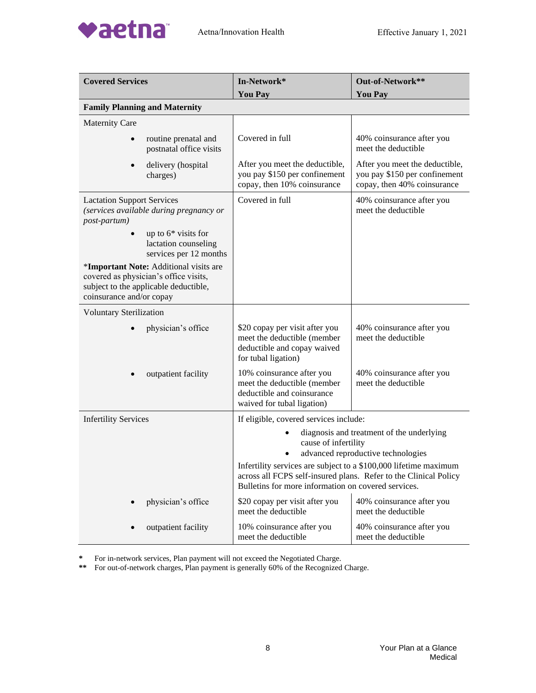

| <b>Covered Services</b>                                                                                                                              | In-Network*<br><b>You Pay</b>                                                                                                                                                               | Out-of-Network**<br><b>You Pay</b>                                                             |
|------------------------------------------------------------------------------------------------------------------------------------------------------|---------------------------------------------------------------------------------------------------------------------------------------------------------------------------------------------|------------------------------------------------------------------------------------------------|
| <b>Family Planning and Maternity</b>                                                                                                                 |                                                                                                                                                                                             |                                                                                                |
| <b>Maternity Care</b>                                                                                                                                |                                                                                                                                                                                             |                                                                                                |
| routine prenatal and<br>postnatal office visits                                                                                                      | Covered in full                                                                                                                                                                             | 40% coinsurance after you<br>meet the deductible                                               |
| delivery (hospital<br>charges)                                                                                                                       | After you meet the deductible,<br>you pay \$150 per confinement<br>copay, then 10% coinsurance                                                                                              | After you meet the deductible,<br>you pay \$150 per confinement<br>copay, then 40% coinsurance |
| <b>Lactation Support Services</b><br>(services available during pregnancy or<br>post-partum)                                                         | Covered in full                                                                                                                                                                             | 40% coinsurance after you<br>meet the deductible                                               |
| up to $6*$ visits for<br>lactation counseling<br>services per 12 months                                                                              |                                                                                                                                                                                             |                                                                                                |
| *Important Note: Additional visits are<br>covered as physician's office visits,<br>subject to the applicable deductible,<br>coinsurance and/or copay |                                                                                                                                                                                             |                                                                                                |
| <b>Voluntary Sterilization</b>                                                                                                                       |                                                                                                                                                                                             |                                                                                                |
| physician's office                                                                                                                                   | \$20 copay per visit after you<br>meet the deductible (member<br>deductible and copay waived<br>for tubal ligation)                                                                         | 40% coinsurance after you<br>meet the deductible                                               |
| outpatient facility                                                                                                                                  | 10% coinsurance after you<br>meet the deductible (member<br>deductible and coinsurance<br>waived for tubal ligation)                                                                        | 40% coinsurance after you<br>meet the deductible                                               |
| <b>Infertility Services</b>                                                                                                                          | If eligible, covered services include:                                                                                                                                                      |                                                                                                |
|                                                                                                                                                      | diagnosis and treatment of the underlying<br>cause of infertility<br>advanced reproductive technologies<br>٠                                                                                |                                                                                                |
|                                                                                                                                                      | Infertility services are subject to a \$100,000 lifetime maximum<br>across all FCPS self-insured plans. Refer to the Clinical Policy<br>Bulletins for more information on covered services. |                                                                                                |
| physician's office                                                                                                                                   | \$20 copay per visit after you<br>meet the deductible                                                                                                                                       | 40% coinsurance after you<br>meet the deductible                                               |
| outpatient facility                                                                                                                                  | 10% coinsurance after you<br>meet the deductible                                                                                                                                            | 40% coinsurance after you<br>meet the deductible                                               |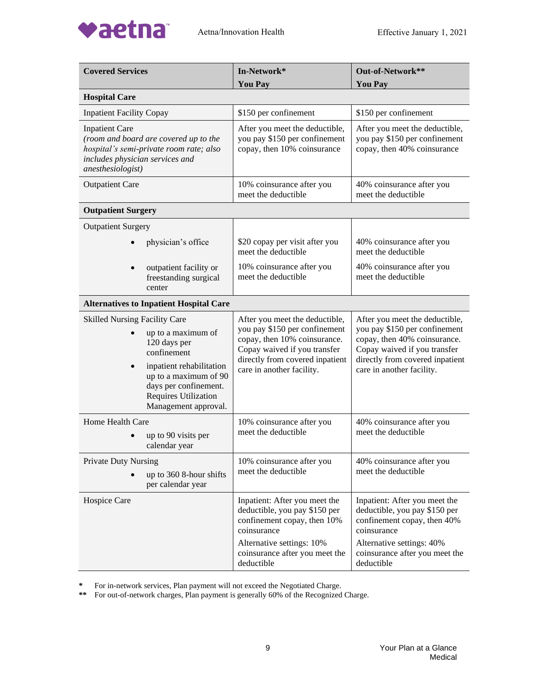

| <b>Covered Services</b>                                                                                                                                                                                                                     | In-Network*<br><b>You Pay</b>                                                                                                                                                                   | Out-of-Network**<br><b>You Pay</b>                                                                                                                                                              |
|---------------------------------------------------------------------------------------------------------------------------------------------------------------------------------------------------------------------------------------------|-------------------------------------------------------------------------------------------------------------------------------------------------------------------------------------------------|-------------------------------------------------------------------------------------------------------------------------------------------------------------------------------------------------|
| <b>Hospital Care</b>                                                                                                                                                                                                                        |                                                                                                                                                                                                 |                                                                                                                                                                                                 |
| <b>Inpatient Facility Copay</b>                                                                                                                                                                                                             | \$150 per confinement                                                                                                                                                                           | \$150 per confinement                                                                                                                                                                           |
| <b>Inpatient Care</b><br>(room and board are covered up to the<br>hospital's semi-private room rate; also<br>includes physician services and<br>anesthesiologist)                                                                           | After you meet the deductible,<br>you pay \$150 per confinement<br>copay, then 10% coinsurance                                                                                                  | After you meet the deductible,<br>you pay \$150 per confinement<br>copay, then 40% coinsurance                                                                                                  |
| <b>Outpatient Care</b>                                                                                                                                                                                                                      | 10% coinsurance after you<br>meet the deductible                                                                                                                                                | 40% coinsurance after you<br>meet the deductible                                                                                                                                                |
| <b>Outpatient Surgery</b>                                                                                                                                                                                                                   |                                                                                                                                                                                                 |                                                                                                                                                                                                 |
| <b>Outpatient Surgery</b>                                                                                                                                                                                                                   |                                                                                                                                                                                                 |                                                                                                                                                                                                 |
| physician's office                                                                                                                                                                                                                          | \$20 copay per visit after you<br>meet the deductible                                                                                                                                           | 40% coinsurance after you<br>meet the deductible                                                                                                                                                |
| outpatient facility or<br>freestanding surgical<br>center                                                                                                                                                                                   | 10% coinsurance after you<br>meet the deductible                                                                                                                                                | 40% coinsurance after you<br>meet the deductible                                                                                                                                                |
| <b>Alternatives to Inpatient Hospital Care</b>                                                                                                                                                                                              |                                                                                                                                                                                                 |                                                                                                                                                                                                 |
| <b>Skilled Nursing Facility Care</b><br>up to a maximum of<br>120 days per<br>confinement<br>inpatient rehabilitation<br>$\bullet$<br>up to a maximum of 90<br>days per confinement.<br><b>Requires Utilization</b><br>Management approval. | After you meet the deductible,<br>you pay \$150 per confinement<br>copay, then 10% coinsurance.<br>Copay waived if you transfer<br>directly from covered inpatient<br>care in another facility. | After you meet the deductible,<br>you pay \$150 per confinement<br>copay, then 40% coinsurance.<br>Copay waived if you transfer<br>directly from covered inpatient<br>care in another facility. |
| Home Health Care<br>up to 90 visits per<br>calendar year                                                                                                                                                                                    | 10% coinsurance after you<br>meet the deductible                                                                                                                                                | 40% coinsurance after you<br>meet the deductible                                                                                                                                                |
| <b>Private Duty Nursing</b><br>up to 360 8-hour shifts<br>per calendar year                                                                                                                                                                 | 10% coinsurance after you<br>meet the deductible                                                                                                                                                | 40% coinsurance after you<br>meet the deductible                                                                                                                                                |
| Hospice Care                                                                                                                                                                                                                                | Inpatient: After you meet the<br>deductible, you pay \$150 per<br>confinement copay, then 10%<br>coinsurance                                                                                    | Inpatient: After you meet the<br>deductible, you pay \$150 per<br>confinement copay, then 40%<br>coinsurance                                                                                    |
|                                                                                                                                                                                                                                             | Alternative settings: 10%<br>coinsurance after you meet the<br>deductible                                                                                                                       | Alternative settings: 40%<br>coinsurance after you meet the<br>deductible                                                                                                                       |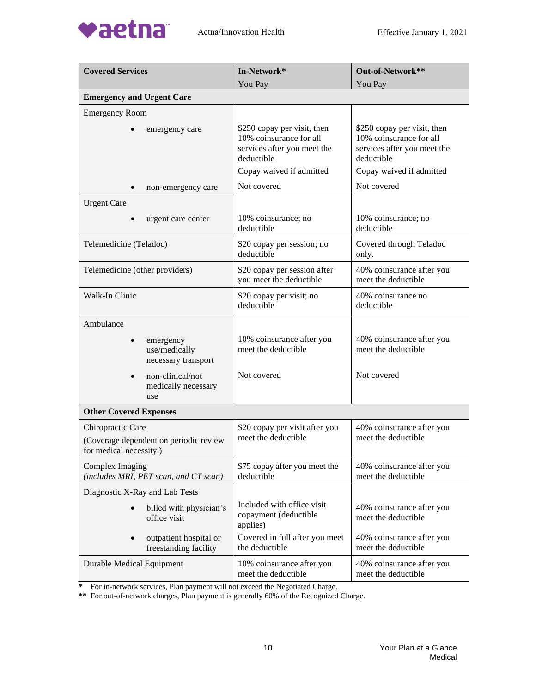

| <b>Covered Services</b>                                                                | In-Network*                                                                                                                     | Out-of-Network**                                                                                                                |
|----------------------------------------------------------------------------------------|---------------------------------------------------------------------------------------------------------------------------------|---------------------------------------------------------------------------------------------------------------------------------|
|                                                                                        | You Pay                                                                                                                         | You Pay                                                                                                                         |
| <b>Emergency and Urgent Care</b>                                                       |                                                                                                                                 |                                                                                                                                 |
| <b>Emergency Room</b>                                                                  |                                                                                                                                 |                                                                                                                                 |
| emergency care                                                                         | \$250 copay per visit, then<br>10% coinsurance for all<br>services after you meet the<br>deductible<br>Copay waived if admitted | \$250 copay per visit, then<br>10% coinsurance for all<br>services after you meet the<br>deductible<br>Copay waived if admitted |
| non-emergency care                                                                     | Not covered                                                                                                                     | Not covered                                                                                                                     |
| <b>Urgent Care</b>                                                                     |                                                                                                                                 |                                                                                                                                 |
| urgent care center                                                                     | 10% coinsurance; no<br>deductible                                                                                               | 10% coinsurance; no<br>deductible                                                                                               |
| Telemedicine (Teladoc)                                                                 | \$20 copay per session; no<br>deductible                                                                                        | Covered through Teladoc<br>only.                                                                                                |
| Telemedicine (other providers)                                                         | \$20 copay per session after<br>you meet the deductible                                                                         | 40% coinsurance after you<br>meet the deductible                                                                                |
| Walk-In Clinic                                                                         | \$20 copay per visit; no<br>deductible                                                                                          | 40% coinsurance no<br>deductible                                                                                                |
| Ambulance                                                                              |                                                                                                                                 |                                                                                                                                 |
| emergency<br>use/medically<br>necessary transport                                      | 10% coinsurance after you<br>meet the deductible                                                                                | 40% coinsurance after you<br>meet the deductible                                                                                |
| non-clinical/not<br>medically necessary<br>use                                         | Not covered                                                                                                                     | Not covered                                                                                                                     |
| <b>Other Covered Expenses</b>                                                          |                                                                                                                                 |                                                                                                                                 |
| Chiropractic Care<br>(Coverage dependent on periodic review<br>for medical necessity.) | \$20 copay per visit after you<br>meet the deductible                                                                           | 40% coinsurance after you<br>meet the deductible                                                                                |
| Complex Imaging<br>(includes MRI, PET scan, and CT scan)                               | \$75 copay after you meet the<br>deductible                                                                                     | 40% coinsurance after you<br>meet the deductible                                                                                |
| Diagnostic X-Ray and Lab Tests                                                         |                                                                                                                                 |                                                                                                                                 |
| billed with physician's<br>office visit                                                | Included with office visit<br>copayment (deductible<br>applies)                                                                 | 40% coinsurance after you<br>meet the deductible                                                                                |
| outpatient hospital or<br>freestanding facility                                        | Covered in full after you meet<br>the deductible                                                                                | 40% coinsurance after you<br>meet the deductible                                                                                |
| Durable Medical Equipment                                                              | 10% coinsurance after you<br>meet the deductible                                                                                | 40% coinsurance after you<br>meet the deductible                                                                                |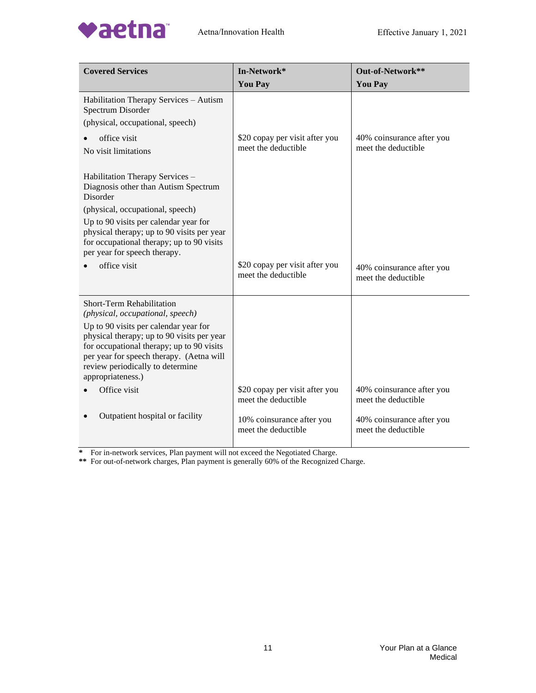

| <b>Covered Services</b>                                                                                                                                                                                                               | In-Network*                                           | Out-of-Network**                                 |
|---------------------------------------------------------------------------------------------------------------------------------------------------------------------------------------------------------------------------------------|-------------------------------------------------------|--------------------------------------------------|
|                                                                                                                                                                                                                                       | <b>You Pay</b>                                        | <b>You Pay</b>                                   |
| Habilitation Therapy Services - Autism<br>Spectrum Disorder<br>(physical, occupational, speech)                                                                                                                                       |                                                       |                                                  |
| office visit<br>No visit limitations                                                                                                                                                                                                  | \$20 copay per visit after you<br>meet the deductible | 40% coinsurance after you<br>meet the deductible |
| Habilitation Therapy Services -<br>Diagnosis other than Autism Spectrum<br>Disorder                                                                                                                                                   |                                                       |                                                  |
| (physical, occupational, speech)<br>Up to 90 visits per calendar year for<br>physical therapy; up to 90 visits per year<br>for occupational therapy; up to 90 visits<br>per year for speech therapy.                                  |                                                       |                                                  |
| office visit                                                                                                                                                                                                                          | \$20 copay per visit after you<br>meet the deductible | 40% coinsurance after you<br>meet the deductible |
| Short-Term Rehabilitation<br>(physical, occupational, speech)                                                                                                                                                                         |                                                       |                                                  |
| Up to 90 visits per calendar year for<br>physical therapy; up to 90 visits per year<br>for occupational therapy; up to 90 visits<br>per year for speech therapy. (Aetna will<br>review periodically to determine<br>appropriateness.) |                                                       |                                                  |
| Office visit                                                                                                                                                                                                                          | \$20 copay per visit after you<br>meet the deductible | 40% coinsurance after you<br>meet the deductible |
| Outpatient hospital or facility                                                                                                                                                                                                       | 10% coinsurance after you<br>meet the deductible      | 40% coinsurance after you<br>meet the deductible |